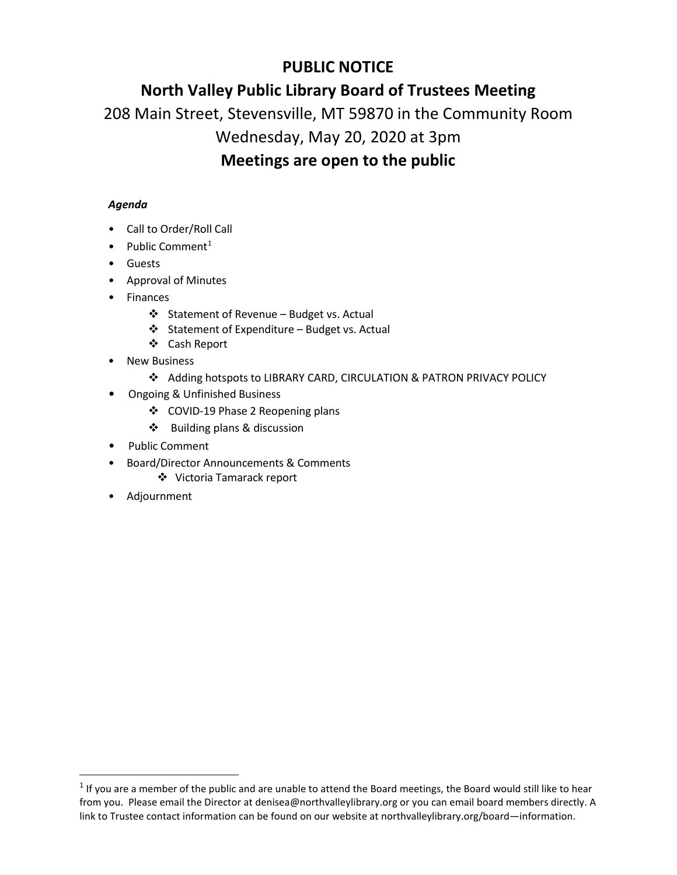## **PUBLIC NOTICE**

## **North Valley Public Library Board of Trustees Meeting**

208 Main Street, Stevensville, MT 59870 in the Community Room

# Wednesday, May 20, 2020 at 3pm

## **Meetings are open to the public**

### *Agenda*

- Call to Order/Roll Call
- Public Comment<sup>[1](#page-0-0)</sup>
- Guests
- Approval of Minutes
- Finances
	- Statement of Revenue Budget vs. Actual
	- Statement of Expenditure Budget vs. Actual
	- Cash Report
- **New Business** 
	- Adding hotspots to LIBRARY CARD, CIRCULATION & PATRON PRIVACY POLICY
- Ongoing & Unfinished Business
	- COVID-19 Phase 2 Reopening plans
	- ❖ Building plans & discussion
- Public Comment
- Board/Director Announcements & Comments
	- Victoria Tamarack report
- Adjournment

<span id="page-0-0"></span> $1$  If you are a member of the public and are unable to attend the Board meetings, the Board would still like to hear from you. Please email the Director at denisea@northvalleylibrary.org or you can email board members directly. A link to Trustee contact information can be found on our website at northvalleylibrary.org/board—information.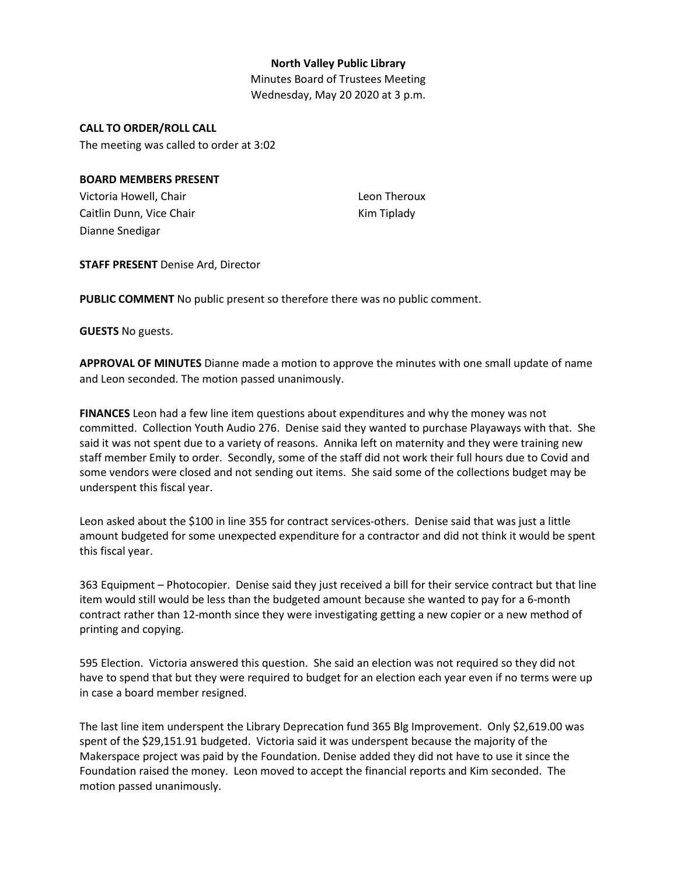#### **North Valley Public Library**

Minutes Board of Trustees Meeting Wednesday, May 20 2020 at 3 p.m.

#### **CALL TO ORDER/ROLL CALL**

The meeting was called to order at 3:02

#### **BOARD MEMBERS PRESENT**

Victoria Howell, Chair Caitlin Dunn, Vice Chair Dianne Snedigar

Leon Theroux Kim Tiplady

**STAFF PRESENT** Denise Ard, Director

**PUBLIC COMMENT** No public present so therefore there was no public comment.

**GUESTS** No guests.

**APPROVAL OF MINUTES** Dianne made a motion to approve the minutes with one small update of name and Leon seconded. The motion passed unanimously.

**FINANCES** Leon had a few line item questions about expenditures and why the money was not committed. Collection Youth Audio 276. Denise said they wanted to purchase Playaways with that. She said it was not spent due to a variety of reasons. Annika left on maternity and they were training new staff member Emily to order. Secondly, some of the staff did not work their full hours due to Covid and some vendors were closed and not sending out items. She said some of the collections budget may be underspent this fiscal year.

Leon asked about the \$100 in line 355 for contract services-others. Denise said that was just a little amount budgeted for some unexpected expenditure for a contractor and did not think it would be spent this fiscal year.

363 Equipment – Photocopier. Denise said they just received a bill for their service contract but that line item would still would be less than the budgeted amount because she wanted to pay for a 6-month contract rather than 12-month since they were investigating getting a new copier or a new method of printing and copying.

595 Election. Victoria answered this question. She said an election was not required so they did not have to spend that but they were required to budget for an election each year even if no terms were up in case a board member resigned.

The last line item underspent the Library Deprecation fund 365 Blg Improvement. Only \$2,619.00 was spent of the \$29,151.91 budgeted. Victoria said it was underspent because the majority of the Makerspace project was paid by the Foundation. Denise added they did not have to use it since the Foundation raised the money. Leon moved to accept the financial reports and Kim seconded. The motion passed unanimously.